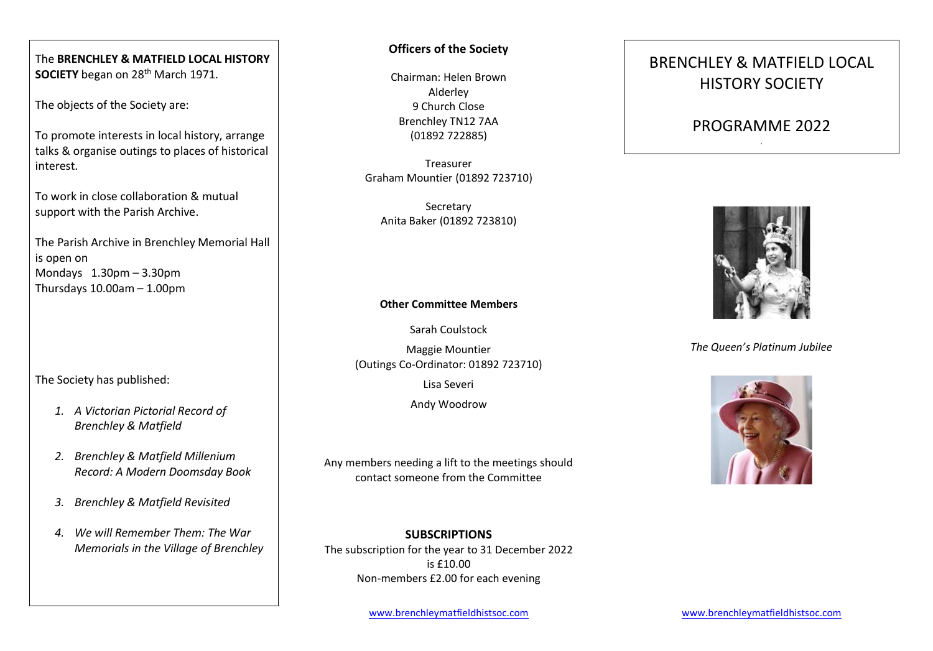The **BRENCHLEY & MATFIELD LOCAL HISTORY SOCIETY** began on 28<sup>th</sup> March 1971.

The objects of the Society are:

To promote interests in local history, arrange talks & organise outings to places of historical interest.

To work in close collaboration & mutual support with the Parish Archive.

The Parish Archive in Brenchley Memorial Hall is open on Mondays 1.30pm – 3.30pm Thursdays 10.00am – 1.00pm

The Society has published:

- *1. A Victorian Pictorial Record of Brenchley & Matfield*
- *2. Brenchley & Matfield Millenium Record: A Modern Doomsday Book*
- *3. Brenchley & Matfield Revisited*
- *4. We will Remember Them: The War Memorials in the Village of Brenchley*

### **Officers of the Society**

Chairman: Helen Brown Alderley 9 Church Close Brenchley TN12 7AA (01892 722885)

Treasurer Graham Mountier (01892 723710)

**Secretary** Anita Baker (01892 723810)

#### **Other Committee Members**

Sarah Coulstock

Maggie Mountier (Outings Co-Ordinator: 01892 723710)

Lisa Severi

Andy Woodrow

Any members needing a lift to the meetings should contact someone from the Committee

**SUBSCRIPTIONS** The subscription for the year to 31 December 2022 is £10.00 Non-members £2.00 for each evening

# BRENCHLEY & MATFIELD LOCAL HISTORY SOCIETY

### PROGRAMME 2022 .



*The Queen's Platinum Jubilee*